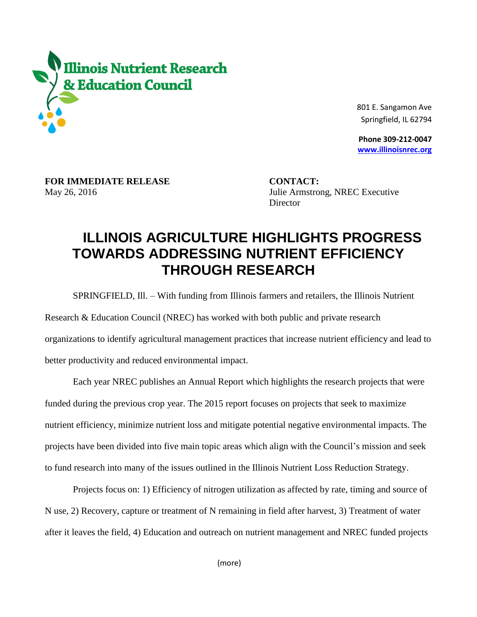

 801 E. Sangamon Ave Springfield, IL 62794

 **Phone 309-212-0047 [www.illinoisnrec.org](http://www.illinoisnrec.org/)**

**FOR IMMEDIATE RELEASE CONTACT:** 

May 26, 2016 Julie Armstrong, NREC Executive **Director** 

## **ILLINOIS AGRICULTURE HIGHLIGHTS PROGRESS TOWARDS ADDRESSING NUTRIENT EFFICIENCY THROUGH RESEARCH**

SPRINGFIELD, Ill. – With funding from Illinois farmers and retailers, the Illinois Nutrient

Research & Education Council (NREC) has worked with both public and private research

organizations to identify agricultural management practices that increase nutrient efficiency and lead to

better productivity and reduced environmental impact.

Each year NREC publishes an Annual Report which highlights the research projects that were funded during the previous crop year. The 2015 report focuses on projects that seek to maximize nutrient efficiency, minimize nutrient loss and mitigate potential negative environmental impacts. The projects have been divided into five main topic areas which align with the Council's mission and seek to fund research into many of the issues outlined in the Illinois Nutrient Loss Reduction Strategy.

Projects focus on: 1) Efficiency of nitrogen utilization as affected by rate, timing and source of N use, 2) Recovery, capture or treatment of N remaining in field after harvest, 3) Treatment of water after it leaves the field, 4) Education and outreach on nutrient management and NREC funded projects